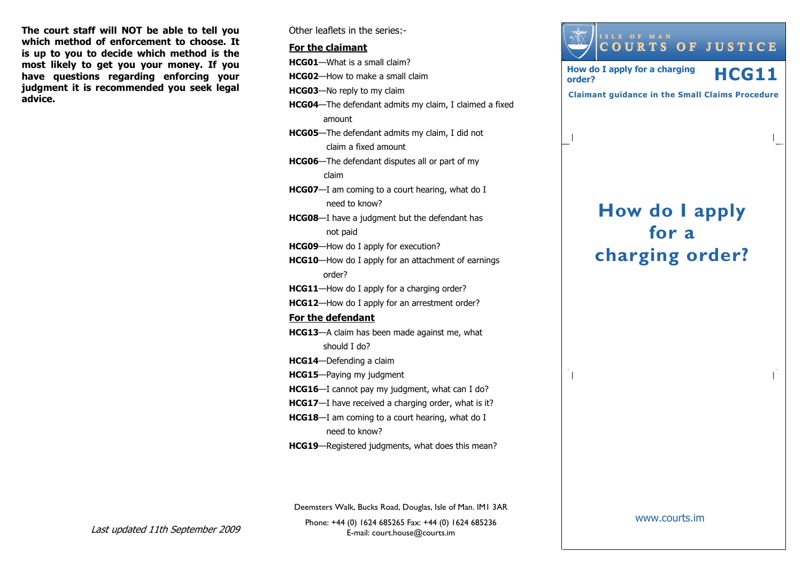The court staff will NOT be able to tell you which method of enforcement to choose. It is up to you to decide which method is the most likely to get you your money. If you have questions regarding enforcing your judgment it is recommended you seek legal advice.

Other leaflets in the series:-

#### For the claimant

HCG01—What is a small claim? HCG02—How to make a small claim HCG03—No reply to my claim HCG04—The defendant admits my claim, I claimed a fixed amount HCG05—The defendant admits my claim, I did not claim a fixed amount HCG06—The defendant disputes all or part of my claim HCG07—I am coming to a court hearing, what do I need to know? HCG08—I have a judgment but the defendant has not paid HCG09—How do I apply for execution? HCG10—How do I apply for an attachment of earnings order? HCG11—How do I apply for a charging order? HCG12—How do I apply for an arrestment order? For the defendantHCG13—A claim has been made against me, what should I do? HCG14—Defending a claim HCG15—Paying my judgment HCG16—I cannot pay my judgment, what can I do? HCG17-I have received a charging order, what is it? HCG18—I am coming to a court hearing, what do I need to know?

HCG19—Registered judgments, what does this mean?

Phone: +44 (0) 1624 685265 Fax: +44 (0) 1624 685236E-mail: court.house@courts.im Deemsters Walk, Bucks Road, Douglas, Isle of Man. IM1 3AR

Last updated 11th September 2009

How do I apply for a charging order? <sup>I</sup> <sup>S</sup> <sup>L</sup> <sup>E</sup> <sup>O</sup> <sup>F</sup> <sup>M</sup> <sup>A</sup> <sup>N</sup> <sup>C</sup> <sup>O</sup> <sup>U</sup> <sup>R</sup> <sup>T</sup> <sup>S</sup> <sup>O</sup> <sup>F</sup> <sup>J</sup> <sup>U</sup> <sup>S</sup> <sup>T</sup> <sup>I</sup> <sup>C</sup> <sup>E</sup> How do I apply for a charging  $\mathop{\mathsf{HCG11}}\nolimits$ Claimant guidance in the Small Claims Procedure

www.courts.im